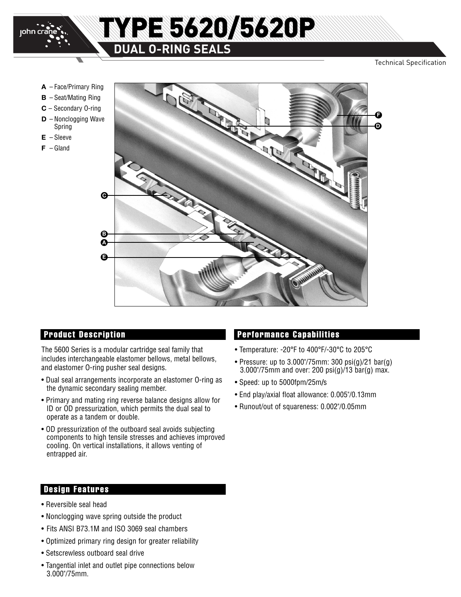



Technical Specification

- **A** Face/Primary Ring
- **B** Seat/Mating Ring
- **C** Secondary O-ring
- **D** Nonclogging Wave Spring
- **E** Sleeve
- **F** Gland



#### **Product Description**

The 5600 Series is a modular cartridge seal family that includes interchangeable elastomer bellows, metal bellows, and elastomer O-ring pusher seal designs.

- Dual seal arrangements incorporate an elastomer O-ring as the dynamic secondary sealing member.
- Primary and mating ring reverse balance designs allow for ID or OD pressurization, which permits the dual seal to operate as a tandem or double.
- OD pressurization of the outboard seal avoids subjecting components to high tensile stresses and achieves improved cooling. On vertical installations, it allows venting of entrapped air.

#### **Design Features**

- Reversible seal head
- Nonclogging wave spring outside the product
- Fits ANSI B73.1M and ISO 3069 seal chambers
- Optimized primary ring design for greater reliability
- Setscrewless outboard seal drive
- Tangential inlet and outlet pipe connections below 3.000"/75mm.

#### **Performance Capabilities**

- Temperature: -20°F to 400°F/-30°C to 205°C
- Pressure: up to  $3.000^{\circ}/75$ mm:  $300$  psi(g)/21 bar(g) 3.000"/75mm and over: 200 psi(g)/13 bar(g) max.
- Speed: up to 5000fpm/25m**/**s
- End play/axial float allowance: 0.005"/0.13mm
- Runout/out of squareness: 0.002"/0.05mm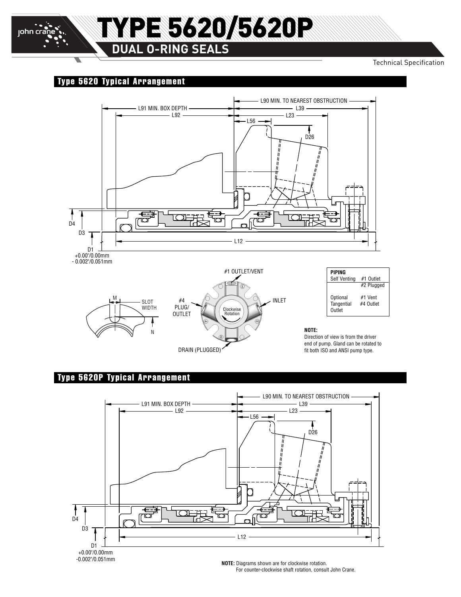

# TYPE 5620/5620P

**DUAL O-RING SEALS**

Technical Specification

## **Type 5620 Typical Arrangement**





DRAIN (PLUGGED)

**PIPING** Self Venting #1 Outlet #2 Plugged Optional #1 Vent Tangential #4 Outlet **Outlet** 

**NOTE:**

Direction of view is from the driver end of pump. Gland can be rotated to fit both ISO and ANSI pump type.

### **Type 5620P Typical Arrangement**



-0.002"/0.051mm

**NOTE:** Diagrams shown are for clockwise rotation. For counter-clockwise shaft rotation, consult John Crane.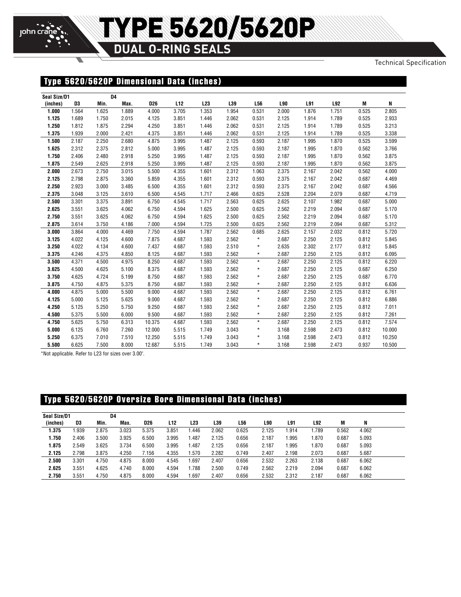# TYPE 5620/5620P

# **DUAL O-RING SEALS**

Technical Specification

## **Type 5620/5620P Dimensional Data (inches)**

| Seal Size/D1 |                | D <sub>4</sub> |       |            |                 |       |       |                 |       |            |       |       |        |
|--------------|----------------|----------------|-------|------------|-----------------|-------|-------|-----------------|-------|------------|-------|-------|--------|
| (inches)     | D <sub>3</sub> | Min.           | Max.  | <b>D26</b> | L <sub>12</sub> | L23   | L39   | L <sub>56</sub> | L90   | <b>L91</b> | L92   | M     | N      |
| 1.000        | 1.564          | 1.625          | 1.889 | 4.000      | 3.705           | 1.353 | 1.954 | 0.531           | 2.000 | 1.876      | 1.751 | 0.525 | 2.805  |
| 1.125        | 1.689          | 1.750          | 2.015 | 4.125      | 3.851           | 1.446 | 2.062 | 0.531           | 2.125 | 1.914      | 1.789 | 0.525 | 2.933  |
| 1.250        | 1.812          | 1.875          | 2.294 | 4.250      | 3.851           | 1.446 | 2.062 | 0.531           | 2.125 | 1.914      | 1.789 | 0.525 | 3.213  |
| 1.375        | 1.939          | 2.000          | 2.421 | 4.375      | 3.851           | 1.446 | 2.062 | 0.531           | 2.125 | 1.914      | 1.789 | 0.525 | 3.338  |
| 1.500        | 2.187          | 2.250          | 2.680 | 4.875      | 3.995           | 1.487 | 2.125 | 0.593           | 2.187 | 1.995      | 1.870 | 0.525 | 3.599  |
| 1.625        | 2.312          | 2.375          | 2.812 | 5.000      | 3.995           | 1.487 | 2.125 | 0.593           | 2.187 | 1.995      | 1.870 | 0.562 | 3.766  |
| 1.750        | 2.406          | 2.480          | 2.918 | 5.250      | 3.995           | 1.487 | 2.125 | 0.593           | 2.187 | 1.995      | 1.870 | 0.562 | 3.875  |
| 1.875        | 2.549          | 2.625          | 2.918 | 5.250      | 3.995           | 1.487 | 2.125 | 0.593           | 2.187 | 1.995      | 1.870 | 0.562 | 3.875  |
| 2.000        | 2.673          | 2.750          | 3.015 | 5.500      | 4.355           | 1.601 | 2.312 | 1.063           | 2.375 | 2.167      | 2.042 | 0.562 | 4.000  |
| 2.125        | 2.798          | 2.875          | 3.360 | 5.859      | 4.355           | 1.601 | 2.312 | 0.593           | 2.375 | 2.167      | 2.042 | 0.687 | 4.469  |
| 2.250        | 2.923          | 3.000          | 3.485 | 6.500      | 4.355           | 1.601 | 2.312 | 0.593           | 2.375 | 2.167      | 2.042 | 0.687 | 4.566  |
| 2.375        | 3.048          | 3.125          | 3.610 | 6.500      | 4.545           | 1.717 | 2.466 | 0.625           | 2.528 | 2.204      | 2.079 | 0.687 | 4.719  |
| 2.500        | 3.301          | 3.375          | 3.891 | 6.750      | 4.545           | 1.717 | 2.563 | 0.625           | 2.625 | 2.107      | 1.982 | 0.687 | 5.000  |
| 2.625        | 3.551          | 3.625          | 4.062 | 6.750      | 4.594           | 1.625 | 2.500 | 0.625           | 2.562 | 2.219      | 2.094 | 0.687 | 5.170  |
| 2.750        | 3.551          | 3.625          | 4.062 | 6.750      | 4.594           | 1.625 | 2.500 | 0.625           | 2.562 | 2.219      | 2.094 | 0.687 | 5.170  |
| 2.875        | 3.614          | 3.750          | 4.186 | 7.000      | 4.594           | 1.725 | 2.500 | 0.625           | 2.562 | 2.219      | 2.094 | 0.687 | 5.312  |
| 3.000        | 3.864          | 4.000          | 4.469 | 7.750      | 4.594           | 1.787 | 2.562 | 0.685           | 2.625 | 2.157      | 2.032 | 0.812 | 5.720  |
| 3.125        | 4.022          | 4.125          | 4.600 | 7.875      | 4.687           | 1.593 | 2.562 | $\star$         | 2.687 | 2.250      | 2.125 | 0.812 | 5.845  |
| 3.250        | 4.022          | 4.134          | 4.600 | 7.437      | 4.687           | 1.593 | 2.510 | $^{\star}$      | 2.635 | 2.302      | 2.177 | 0.812 | 5.845  |
| 3.375        | 4.246          | 4.375          | 4.850 | 8.125      | 4.687           | 1.593 | 2.562 | $\star$         | 2.687 | 2.250      | 2.125 | 0.812 | 6.095  |
| 3.500        | 4.371          | 4.500          | 4.975 | 8.250      | 4.687           | 1.593 | 2.562 | $\star$         | 2.687 | 2.250      | 2.125 | 0.812 | 6.220  |
| 3.625        | 4.500          | 4.625          | 5.100 | 8.375      | 4.687           | 1.593 | 2.562 | $^{\star}$      | 2.687 | 2.250      | 2.125 | 0.687 | 6.250  |
| 3.750        | 4.625          | 4.724          | 5.199 | 8.750      | 4.687           | 1.593 | 2.562 | $^{\star}$      | 2.687 | 2.250      | 2.125 | 0.687 | 6.770  |
| 3.875        | 4.750          | 4.875          | 5.375 | 8.750      | 4.687           | 1.593 | 2.562 | $\star$         | 2.687 | 2.250      | 2.125 | 0.812 | 6.636  |
| 4.000        | 4.875          | 5.000          | 5.500 | 9.000      | 4.687           | 1.593 | 2.562 | $\star$         | 2.687 | 2.250      | 2.125 | 0.812 | 6.761  |
| 4.125        | 5.000          | 5.125          | 5.625 | 9.000      | 4.687           | 1.593 | 2.562 | $^{\star}$      | 2.687 | 2.250      | 2.125 | 0.812 | 6.886  |
| 4.250        | 5.125          | 5.250          | 5.750 | 9.250      | 4.687           | 1.593 | 2.562 | $\star$         | 2.687 | 2.250      | 2.125 | 0.812 | 7.011  |
| 4.500        | 5.375          | 5.500          | 6.000 | 9.500      | 4.687           | 1.593 | 2.562 | $\star$         | 2.687 | 2.250      | 2.125 | 0.812 | 7.261  |
| 4.750        | 5.625          | 5.750          | 6.313 | 10.375     | 4.687           | 1.593 | 2.562 | $\star$         | 2.687 | 2.250      | 2.125 | 0.812 | 7.574  |
| 5.000        | 6.125          | 6.760          | 7.260 | 12.000     | 5.515           | 1.749 | 3.043 | $^{\star}$      | 3.168 | 2.598      | 2.473 | 0.812 | 10.000 |
| 5.250        | 6.375          | 7.010          | 7.510 | 12.250     | 5.515           | 1.749 | 3.043 | $^{\star}$      | 3.168 | 2.598      | 2.473 | 0.812 | 10.250 |
| 5.500        | 6.625          | 7.500          | 8.000 | 12.687     | 5.515           | 1.749 | 3.043 | $\star$         | 3.168 | 2.598      | 2.473 | 0.937 | 10.500 |

\*Not applicable. Refer to L23 for sizes over 3.00".

### **Type 5620/5620P Oversize Bore Dimensional Data (inches)**

| Seal Size/D1 |       | D <sub>4</sub> |       |       |       |                 |       |       |       |       |       |       |       |  |
|--------------|-------|----------------|-------|-------|-------|-----------------|-------|-------|-------|-------|-------|-------|-------|--|
| (inches)     | D3    | Min.           | Max.  | D26   | L12   | L <sub>23</sub> | L39   | L56   | L90   | L91   | L92   | M     |       |  |
| 1.375        | .939  | 2.875          | 3.023 | 5.375 | 3.851 | .446            | 2.062 | 0.625 | 2.125 | .914  | 1.789 | 0.562 | 4.062 |  |
| 1.750        | 2.406 | 3.500          | 3.925 | 6.500 | 3.995 | .487            | 2.125 | 0.656 | 2.187 | .995  | 1.870 | 0.687 | 5.093 |  |
| 1.875        | 2.549 | 3.625          | 3.734 | 6.500 | 3.995 | .487            | 2.125 | 0.656 | 2.187 | .995  | 1.870 | 0.687 | 5.093 |  |
| 2.125        | 2.798 | 3.875          | 4.250 | 7.156 | 4.355 | .570            | 2.282 | 0.749 | 2.407 | 2.198 | 2.073 | 0.687 | 5.687 |  |
| 2.500        | 3.301 | 4.750          | 4.875 | 8.000 | 4.545 | .697            | 2.407 | 0.656 | 2.532 | 2.263 | 2.138 | 0.687 | 6.062 |  |
| 2.625        | 3.551 | 4.625          | 4.740 | 8.000 | 4.594 | .788            | 2.500 | 0.749 | 2.562 | 2.219 | 2.094 | 0.687 | 6.062 |  |
| 2.750        | 3.551 | 4.750          | 4.875 | 8.000 | 4.594 | .697            | 2.407 | 0.656 | 2.532 | 2.312 | 2.187 | 0.687 | 6.062 |  |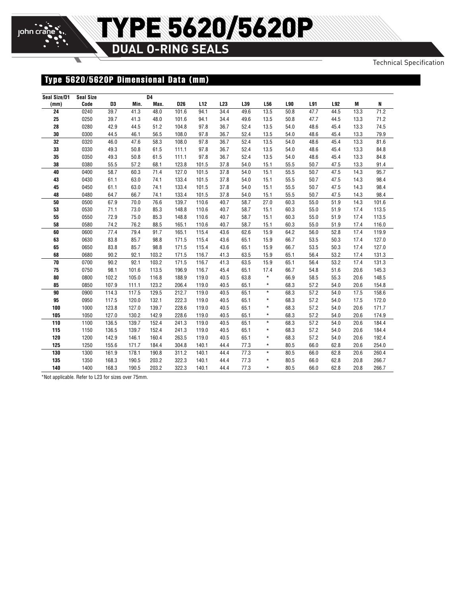# TYPE 5620/5620P

# **DUAL O-RING SEALS**

Technical Specification

## **Type 5620/5620P Dimensional Data (mm)**

| Seal Size/D1 | <b>Seal Size</b> |       |       | D <sub>4</sub> |            |                 |                 |      |                 |      |            |      |      |       |
|--------------|------------------|-------|-------|----------------|------------|-----------------|-----------------|------|-----------------|------|------------|------|------|-------|
| (mm)         | Code             | D3    | Min.  | Max.           | <b>D26</b> | L <sub>12</sub> | L <sub>23</sub> | L39  | L <sub>56</sub> | L90  | <b>L91</b> | L92  | M    | N     |
| 24           | 0240             | 39.7  | 41.3  | 48.0           | 101.6      | 94.1            | 34.4            | 49.6 | 13.5            | 50.8 | 47.7       | 44.5 | 13.3 | 71.2  |
| 25           | 0250             | 39.7  | 41.3  | 48.0           | 101.6      | 94.1            | 34.4            | 49.6 | 13.5            | 50.8 | 47.7       | 44.5 | 13.3 | 71.2  |
| 28           | 0280             | 42.9  | 44.5  | 51.2           | 104.8      | 97.8            | 36.7            | 52.4 | 13.5            | 54.0 | 48.6       | 45.4 | 13.3 | 74.5  |
| 30           | 0300             | 44.5  | 46.1  | 56.5           | 108.0      | 97.8            | 36.7            | 52.4 | 13.5            | 54.0 | 48.6       | 45.4 | 13.3 | 79.9  |
| 32           | 0320             | 46.0  | 47.6  | 58.3           | 108.0      | 97.8            | 36.7            | 52.4 | 13.5            | 54.0 | 48.6       | 45.4 | 13.3 | 81.6  |
| 33           | 0330             | 49.3  | 50.8  | 61.5           | 111.1      | 97.8            | 36.7            | 52.4 | 13.5            | 54.0 | 48.6       | 45.4 | 13.3 | 84.8  |
| 35           | 0350             | 49.3  | 50.8  | 61.5           | 111.1      | 97.8            | 36.7            | 52.4 | 13.5            | 54.0 | 48.6       | 45.4 | 13.3 | 84.8  |
| 38           | 0380             | 55.5  | 57.2  | 68.1           | 123.8      | 101.5           | 37.8            | 54.0 | 15.1            | 55.5 | 50.7       | 47.5 | 13.3 | 91.4  |
| 40           | 0400             | 58.7  | 60.3  | 71.4           | 127.0      | 101.5           | 37.8            | 54.0 | 15.1            | 55.5 | 50.7       | 47.5 | 14.3 | 95.7  |
| 43           | 0430             | 61.1  | 63.0  | 74.1           | 133.4      | 101.5           | 37.8            | 54.0 | 15.1            | 55.5 | 50.7       | 47.5 | 14.3 | 98.4  |
| 45           | 0450             | 61.1  | 63.0  | 74.1           | 133.4      | 101.5           | 37.8            | 54.0 | 15.1            | 55.5 | 50.7       | 47.5 | 14.3 | 98.4  |
| 48           | 0480             | 64.7  | 66.7  | 74.1           | 133.4      | 101.5           | 37.8            | 54.0 | 15.1            | 55.5 | 50.7       | 47.5 | 14.3 | 98.4  |
| 50           | 0500             | 67.9  | 70.0  | 76.6           | 139.7      | 110.6           | 40.7            | 58.7 | 27.0            | 60.3 | 55.0       | 51.9 | 14.3 | 101.6 |
| 53           | 0530             | 71.1  | 73.0  | 85.3           | 148.8      | 110.6           | 40.7            | 58.7 | 15.1            | 60.3 | 55.0       | 51.9 | 17.4 | 113.5 |
| 55           | 0550             | 72.9  | 75.0  | 85.3           | 148.8      | 110.6           | 40.7            | 58.7 | 15.1            | 60.3 | 55.0       | 51.9 | 17.4 | 113.5 |
| 58           | 0580             | 74.2  | 76.2  | 88.5           | 165.1      | 110.6           | 40.7            | 58.7 | 15.1            | 60.3 | 55.0       | 51.9 | 17.4 | 116.0 |
| 60           | 0600             | 77.4  | 79.4  | 91.7           | 165.1      | 115.4           | 43.6            | 62.6 | 15.9            | 64.2 | 56.0       | 52.8 | 17.4 | 119.9 |
| 63           | 0630             | 83.8  | 85.7  | 98.8           | 171.5      | 115.4           | 43.6            | 65.1 | 15.9            | 66.7 | 53.5       | 50.3 | 17.4 | 127.0 |
| 65           | 0650             | 83.8  | 85.7  | 98.8           | 171.5      | 115.4           | 43.6            | 65.1 | 15.9            | 66.7 | 53.5       | 50.3 | 17.4 | 127.0 |
| 68           | 0680             | 90.2  | 92.1  | 103.2          | 171.5      | 116.7           | 41.3            | 63.5 | 15.9            | 65.1 | 56.4       | 53.2 | 17.4 | 131.3 |
| 70           | 0700             | 90.2  | 92.1  | 103.2          | 171.5      | 116.7           | 41.3            | 63.5 | 15.9            | 65.1 | 56.4       | 53.2 | 17.4 | 131.3 |
| 75           | 0750             | 98.1  | 101.6 | 113.5          | 196.9      | 116.7           | 45.4            | 65.1 | 17.4            | 66.7 | 54.8       | 51.6 | 20.6 | 145.3 |
| 80           | 0800             | 102.2 | 105.0 | 116.8          | 188.9      | 119.0           | 40.5            | 63.8 | $^{\star}$      | 66.9 | 58.5       | 55.3 | 20.6 | 148.5 |
| 85           | 0850             | 107.9 | 111.1 | 123.2          | 206.4      | 119.0           | 40.5            | 65.1 | $^\star$        | 68.3 | 57.2       | 54.0 | 20.6 | 154.8 |
| 90           | 0900             | 114.3 | 117.5 | 129.5          | 212.7      | 119.0           | 40.5            | 65.1 | $\star$         | 68.3 | 57.2       | 54.0 | 17.5 | 158.6 |
| 95           | 0950             | 117.5 | 120.0 | 132.1          | 222.3      | 119.0           | 40.5            | 65.1 | $^\star$        | 68.3 | 57.2       | 54.0 | 17.5 | 172.0 |
| 100          | 1000             | 123.8 | 127.0 | 139.7          | 228.6      | 119.0           | 40.5            | 65.1 | $^\star$        | 68.3 | 57.2       | 54.0 | 20.6 | 171.7 |
| 105          | 1050             | 127.0 | 130.2 | 142.9          | 228.6      | 119.0           | 40.5            | 65.1 | $^{\star}$      | 68.3 | 57.2       | 54.0 | 20.6 | 174.9 |
| 110          | 1100             | 136.5 | 139.7 | 152.4          | 241.3      | 119.0           | 40.5            | 65.1 | $^\star$        | 68.3 | 57.2       | 54.0 | 20.6 | 184.4 |
| 115          | 1150             | 136.5 | 139.7 | 152.4          | 241.3      | 119.0           | 40.5            | 65.1 | $^\star$        | 68.3 | 57.2       | 54.0 | 20.6 | 184.4 |
| 120          | 1200             | 142.9 | 146.1 | 160.4          | 263.5      | 119.0           | 40.5            | 65.1 | $^\star$        | 68.3 | 57.2       | 54.0 | 20.6 | 192.4 |
| 125          | 1250             | 155.6 | 171.7 | 184.4          | 304.8      | 140.1           | 44.4            | 77.3 | $\star$         | 80.5 | 66.0       | 62.8 | 20.6 | 254.0 |
| 130          | 1300             | 161.9 | 178.1 | 190.8          | 311.2      | 140.1           | 44.4            | 77.3 | $\star$         | 80.5 | 66.0       | 62.8 | 20.6 | 260.4 |
| 135          | 1350             | 168.3 | 190.5 | 203.2          | 322.3      | 140.1           | 44.4            | 77.3 | $^\star$        | 80.5 | 66.0       | 62.8 | 20.8 | 266.7 |
| 140          | 1400             | 168.3 | 190.5 | 203.2          | 322.3      | 140.1           | 44.4            | 77.3 | $^\star$        | 80.5 | 66.0       | 62.8 | 20.8 | 266.7 |

\*Not applicable. Refer to L23 for sizes over 75mm.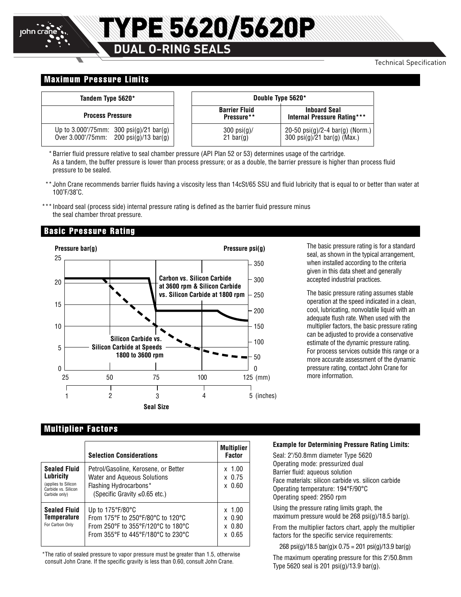## TYPE 5620/5620P **DUAL O-RING SEALS**

Technical Specification

#### **Maximum Pressure Limits**

john cr

| Tandem Type 5620*                                                                                                       | Double Type 5620*                            |                                                                  |  |  |  |
|-------------------------------------------------------------------------------------------------------------------------|----------------------------------------------|------------------------------------------------------------------|--|--|--|
| <b>Process Pressure</b>                                                                                                 | <b>Barrier Fluid</b><br>Pressure**           | <b>Inboard Seal</b><br>Internal Pressure Rating***               |  |  |  |
| Up to $3.000''/75$ mm: $300 \text{ psi}(g)/21 \text{ bar}(g)$<br>Over $3.000^{\circ}/75$ mm: 200 psi $(g)/13$ bar $(g)$ | $300 \text{psi}(g)$ /<br>$21 \text{ bar}(q)$ | 20-50 $psi(g)/2-4$ bar(g) (Norm.)<br>300 psi(g)/21 bar(g) (Max.) |  |  |  |

 \*Barrier fluid pressure relative to seal chamber pressure (API Plan 52 or 53) determines usage of the cartridge. As a tandem, the buffer pressure is lower than process pressure; or as a double, the barrier pressure is higher than process fluid pressure to be sealed.

- \*\*John Crane recommends barrier fluids having a viscosity less than 14cSt/65 SSU and fluid lubricity that is equal to or better than water at 100˚F/38˚C.
- \*\*\* Inboard seal (process side) internal pressure rating is defined as the barrier fluid pressure minus the seal chamber throat pressure.

#### **Basic Pressure Rating**



The basic pressure rating is for a standard seal, as shown in the typical arrangement, when installed according to the criteria given in this data sheet and generally accepted industrial practices.

The basic pressure rating assumes stable operation at the speed indicated in a clean, cool, lubricating, nonvolatile liquid with an adequate flush rate. When used with the multiplier factors, the basic pressure rating can be adjusted to provide a conservative estimate of the dynamic pressure rating. For process services outside this range or a more accurate assessment of the dynamic pressure rating, contact John Crane for more information.

#### **Multiplier Factors**

|                                                                                                 | <b>Selection Considerations</b>                                                                                                                   | <b>Multiplier</b><br><b>Factor</b>                            |
|-------------------------------------------------------------------------------------------------|---------------------------------------------------------------------------------------------------------------------------------------------------|---------------------------------------------------------------|
| <b>Sealed Fluid</b><br>Lubricity<br>(applies to Silicon<br>Carbide vs. Silicon<br>Carbide only) | Petrol/Gasoline, Kerosene, or Better<br><b>Water and Aqueous Solutions</b><br>Flashing Hydrocarbons*<br>(Specific Gravity $\leq 0.65$ etc.)       | $x$ 1.00<br>$x \, 0.75$<br>$\times$ 0.60                      |
| <b>Sealed Fluid</b><br><b>Temperature</b><br>For Carbon Only                                    | Up to $175^{\circ}F/80^{\circ}C$<br>From 175°F to 250°F/80°C to 120°C<br>From 250°F to 355°F/120°C to 180°C<br>From 355°F to 445°F/180°C to 230°C | $x = 1.00$<br>$\times$ 0.90<br>$\times$ 0.80<br>$\times$ 0.65 |

\*The ratio of sealed pressure to vapor pressure must be greater than 1.5, otherwise consult John Crane. If the specific gravity is less than 0.60, consult John Crane.

#### **Example for Determining Pressure Rating Limits:**

Seal: 2"/50.8mm diameter Type 5620 Operating mode: pressurized dual Barrier fluid: aqueous solution Face materials: silicon carbide vs. silicon carbide Operating temperature: 194°F/90°C Operating speed: 2950 rpm

Using the pressure rating limits graph, the maximum pressure would be 268 psi(g)/18.5 bar(g).

From the multiplier factors chart, apply the multiplier factors for the specific service requirements:

268 psi(g)/18.5 bar(g)x  $0.75 = 201$  psi(g)/13.9 bar(g)

The maximum operating pressure for this 2"/50.8mm Type 5620 seal is 201 psi(g)/13.9 bar(g).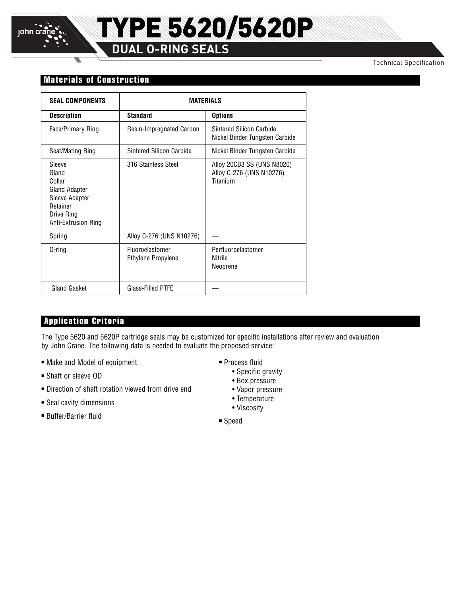

# TYPE 5620/5620P

# **DUAL O-RING SEALS**

Technical Specification

## **Materials of Construction**

| <b>SEAL COMPONENTS</b>                                                                                                      | <b>MATERIALS</b>                      |                                                                    |  |  |  |  |
|-----------------------------------------------------------------------------------------------------------------------------|---------------------------------------|--------------------------------------------------------------------|--|--|--|--|
| <b>Description</b>                                                                                                          | <b>Standard</b>                       | <b>Options</b>                                                     |  |  |  |  |
| Face/Primary Ring                                                                                                           | Resin-Impregnated Carbon              | Sintered Silicon Carbide<br>Nickel Binder Tungsten Carbide         |  |  |  |  |
| Seat/Mating Ring                                                                                                            | Sintered Silicon Carbide              | Nickel Binder Tungsten Carbide                                     |  |  |  |  |
| Sleeve<br>Gland<br>Collar<br><b>Gland Adapter</b><br>Sleeve Adapter<br>Retainer<br>Drive Ring<br><b>Anti-Extrusion Ring</b> | 316 Stainless Steel                   | Alloy 20CB3 SS (UNS N8020)<br>Alloy C-276 (UNS N10276)<br>Titanium |  |  |  |  |
| Spring                                                                                                                      | Alloy C-276 (UNS N10276)              |                                                                    |  |  |  |  |
| $0$ -ring                                                                                                                   | Fluoroelastomer<br>Ethylene Propylene | Perfluoroelastomer<br>Nitrile<br>Neoprene                          |  |  |  |  |
| <b>Gland Gasket</b>                                                                                                         | Glass-Filled PTFE                     |                                                                    |  |  |  |  |

### **Application Criteria**

The Type 5620 and 5620P cartridge seals may be customized for specific installations after review and evaluation by John Crane. The following data is needed to evaluate the proposed service:

- Make and Model of equipment
- Shaft or sleeve OD
- Direction of shaft rotation viewed from drive end
- Seal cavity dimensions
- Buffer/Barrier fluid
- Process fluid
	- Specific gravity
	- Box pressure
	- Vapor pressure
	- Temperature
	- Viscosity
- Speed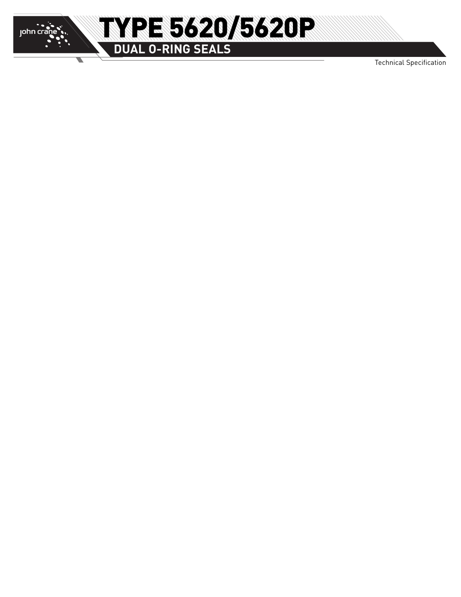

TYPE 5620/5620P

**D U A L O - R I N G S E A L S**

Technical Specification